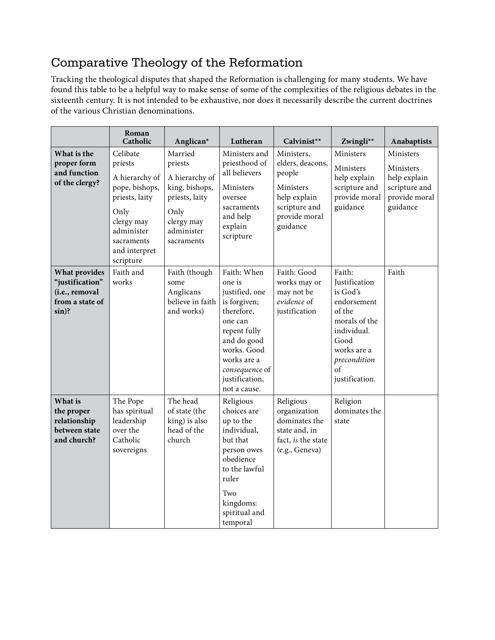## Comparative Theology of the Reformation

Tracking the theological disputes that shaped the Reformation is challenging for many students. We have found this table to be a helpful way to make sense of some of the complexities of the religious debates in the sixteenth century. It is not intended to be exhaustive, nor does it necessarily describe the current doctrines of the various Christian denominations.

|                                                                                  | Roman<br>Catholic                                                                                                                                         | Anglican*                                                                                                                  | Lutheran                                                                                                                                                                                          | Calvinist**                                                                                                         | Zwingli**                                                                                                                                                          | Anabaptists                                                                          |
|----------------------------------------------------------------------------------|-----------------------------------------------------------------------------------------------------------------------------------------------------------|----------------------------------------------------------------------------------------------------------------------------|---------------------------------------------------------------------------------------------------------------------------------------------------------------------------------------------------|---------------------------------------------------------------------------------------------------------------------|--------------------------------------------------------------------------------------------------------------------------------------------------------------------|--------------------------------------------------------------------------------------|
| What is the<br>proper form<br>and function<br>of the clergy?                     | Celibate<br>priests<br>A hierarchy of<br>pope, bishops,<br>priests, laity<br>Only<br>clergy may<br>administer<br>sacraments<br>and interpret<br>scripture | Married<br>priests<br>A hierarchy of<br>king, bishops,<br>priests, laity<br>Only<br>clergy may<br>administer<br>sacraments | Ministers and<br>priesthood of<br>all believers<br>Ministers<br>oversee<br>sacraments<br>and help<br>explain<br>scripture                                                                         | Ministers.<br>elders, deacons,<br>people<br>Ministers<br>help explain<br>scripture and<br>provide moral<br>guidance | Ministers<br>Ministers<br>help explain<br>scripture and<br>provide moral<br>guidance                                                                               | Ministers<br>Ministers<br>help explain<br>scripture and<br>provide moral<br>guidance |
| What provides<br>"justification"<br>(i.e., removal<br>from a state of<br>$sin$ ? | Faith and<br>works                                                                                                                                        | Faith (though<br>some<br>Anglicans<br>believe in faith<br>and works)                                                       | Faith: When<br>one is<br>justified, one<br>is forgiven;<br>therefore,<br>one can<br>repent fully<br>and do good<br>works. Good<br>works are a<br>consequence of<br>justification,<br>not a cause. | Faith: Good<br>works may or<br>may not be<br>evidence of<br>justification                                           | Faith:<br><b>Justification</b><br>is God's<br>endorsement<br>of the<br>morals of the<br>individual.<br>Good<br>works are a<br>precondition<br>of<br>justification. | Faith                                                                                |
| What is<br>the proper<br>relationship<br>between state<br>and church?            | The Pope<br>has spiritual<br>leadership<br>over the<br>Catholic<br>sovereigns                                                                             | The head<br>of state (the<br>king) is also<br>head of the<br>church                                                        | Religious<br>choices are<br>up to the<br>individual,<br>but that<br>person owes<br>obedience<br>to the lawful<br>ruler<br>Two<br>kingdoms:<br>spiritual and<br>temporal                           | Religious<br>organization<br>dominates the<br>state and, in<br>fact, is the state<br>(e.g., Geneva)                 | Religion<br>dominates the<br>state                                                                                                                                 |                                                                                      |